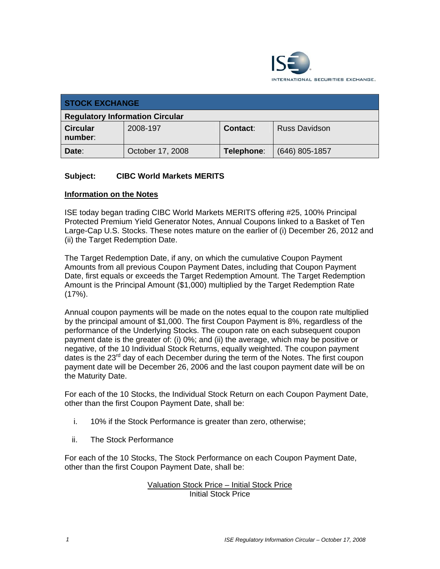

| <b>STOCK EXCHANGE</b>                  |                  |                 |                      |
|----------------------------------------|------------------|-----------------|----------------------|
| <b>Regulatory Information Circular</b> |                  |                 |                      |
| <b>Circular</b><br>number:             | 2008-197         | <b>Contact:</b> | <b>Russ Davidson</b> |
| Date:                                  | October 17, 2008 | Telephone:      | $(646)$ 805-1857     |

# **Subject: CIBC World Markets MERITS**

### **Information on the Notes**

ISE today began trading CIBC World Markets MERITS offering #25, 100% Principal Protected Premium Yield Generator Notes, Annual Coupons linked to a Basket of Ten Large-Cap U.S. Stocks. These notes mature on the earlier of (i) December 26, 2012 and (ii) the Target Redemption Date.

The Target Redemption Date, if any, on which the cumulative Coupon Payment Amounts from all previous Coupon Payment Dates, including that Coupon Payment Date, first equals or exceeds the Target Redemption Amount. The Target Redemption Amount is the Principal Amount (\$1,000) multiplied by the Target Redemption Rate (17%).

Annual coupon payments will be made on the notes equal to the coupon rate multiplied by the principal amount of \$1,000. The first Coupon Payment is 8%, regardless of the performance of the Underlying Stocks. The coupon rate on each subsequent coupon payment date is the greater of: (i) 0%; and (ii) the average, which may be positive or negative, of the 10 Individual Stock Returns, equally weighted. The coupon payment dates is the 23<sup>rd</sup> day of each December during the term of the Notes. The first coupon payment date will be December 26, 2006 and the last coupon payment date will be on the Maturity Date.

For each of the 10 Stocks, the Individual Stock Return on each Coupon Payment Date, other than the first Coupon Payment Date, shall be:

- i. 10% if the Stock Performance is greater than zero, otherwise;
- ii. The Stock Performance

For each of the 10 Stocks, The Stock Performance on each Coupon Payment Date, other than the first Coupon Payment Date, shall be:

# Valuation Stock Price – Initial Stock Price Initial Stock Price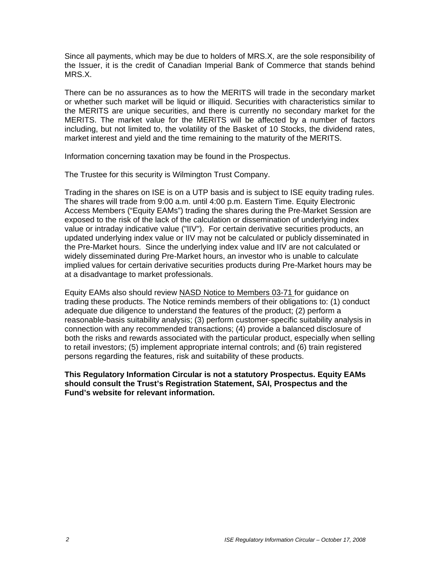Since all payments, which may be due to holders of MRS.X, are the sole responsibility of the Issuer, it is the credit of Canadian Imperial Bank of Commerce that stands behind MRS.X.

There can be no assurances as to how the MERITS will trade in the secondary market or whether such market will be liquid or illiquid. Securities with characteristics similar to the MERITS are unique securities, and there is currently no secondary market for the MERITS. The market value for the MERITS will be affected by a number of factors including, but not limited to, the volatility of the Basket of 10 Stocks, the dividend rates, market interest and yield and the time remaining to the maturity of the MERITS.

Information concerning taxation may be found in the Prospectus.

The Trustee for this security is Wilmington Trust Company.

Trading in the shares on ISE is on a UTP basis and is subject to ISE equity trading rules. The shares will trade from 9:00 a.m. until 4:00 p.m. Eastern Time. Equity Electronic Access Members ("Equity EAMs") trading the shares during the Pre-Market Session are exposed to the risk of the lack of the calculation or dissemination of underlying index value or intraday indicative value ("IIV"). For certain derivative securities products, an updated underlying index value or IIV may not be calculated or publicly disseminated in the Pre-Market hours. Since the underlying index value and IIV are not calculated or widely disseminated during Pre-Market hours, an investor who is unable to calculate implied values for certain derivative securities products during Pre-Market hours may be at a disadvantage to market professionals.

Equity EAMs also should review NASD Notice to Members 03-71 for guidance on trading these products. The Notice reminds members of their obligations to: (1) conduct adequate due diligence to understand the features of the product; (2) perform a reasonable-basis suitability analysis; (3) perform customer-specific suitability analysis in connection with any recommended transactions; (4) provide a balanced disclosure of both the risks and rewards associated with the particular product, especially when selling to retail investors; (5) implement appropriate internal controls; and (6) train registered persons regarding the features, risk and suitability of these products.

**This Regulatory Information Circular is not a statutory Prospectus. Equity EAMs should consult the Trust's Registration Statement, SAI, Prospectus and the Fund's website for relevant information.**